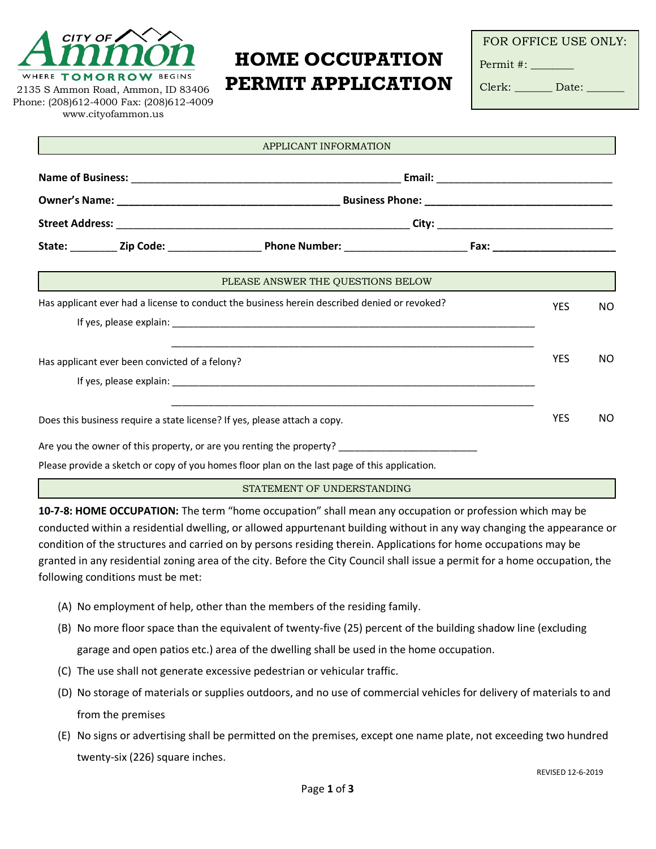

2135 S Ammon Road, Ammon, ID 83406 Phone: (208)612-4000 Fax: (208)612-4009 www.cityofammon.us

## **HOME OCCUPATION PERMIT APPLICATION**

FOR OFFICE USE ONLY:

Permit #: \_\_\_\_\_\_\_\_

Clerk: Date:

| APPLICANT INFORMATION                                                                        |  |                                                                      |  |            |           |
|----------------------------------------------------------------------------------------------|--|----------------------------------------------------------------------|--|------------|-----------|
|                                                                                              |  |                                                                      |  |            |           |
|                                                                                              |  |                                                                      |  |            |           |
|                                                                                              |  |                                                                      |  |            |           |
|                                                                                              |  |                                                                      |  |            |           |
|                                                                                              |  | PLEASE ANSWER THE QUESTIONS BELOW                                    |  |            |           |
| Has applicant ever had a license to conduct the business herein described denied or revoked? |  |                                                                      |  | <b>YES</b> | NO.       |
|                                                                                              |  |                                                                      |  |            |           |
| Has applicant ever been convicted of a felony?                                               |  |                                                                      |  | <b>YES</b> | <b>NO</b> |
|                                                                                              |  |                                                                      |  |            |           |
| Does this business require a state license? If yes, please attach a copy.                    |  |                                                                      |  | <b>YES</b> | <b>NO</b> |
|                                                                                              |  | Are you the owner of this property, or are you renting the property? |  |            |           |

Please provide a sketch or copy of you homes floor plan on the last page of this application.

STATEMENT OF UNDERSTANDING

**10-7-8: HOME OCCUPATION:** The term "home occupation" shall mean any occupation or profession which may be conducted within a residential dwelling, or allowed appurtenant building without in any way changing the appearance or condition of the structures and carried on by persons residing therein. Applications for home occupations may be granted in any residential zoning area of the city. Before the City Council shall issue a permit for a home occupation, the following conditions must be met:

- (A) No employment of help, other than the members of the residing family.
- (B) No more floor space than the equivalent of twenty-five (25) percent of the building shadow line (excluding garage and open patios etc.) area of the dwelling shall be used in the home occupation.
- (C) The use shall not generate excessive pedestrian or vehicular traffic.
- (D) No storage of materials or supplies outdoors, and no use of commercial vehicles for delivery of materials to and from the premises
- (E) No signs or advertising shall be permitted on the premises, except one name plate, not exceeding two hundred twenty-six (226) square inches.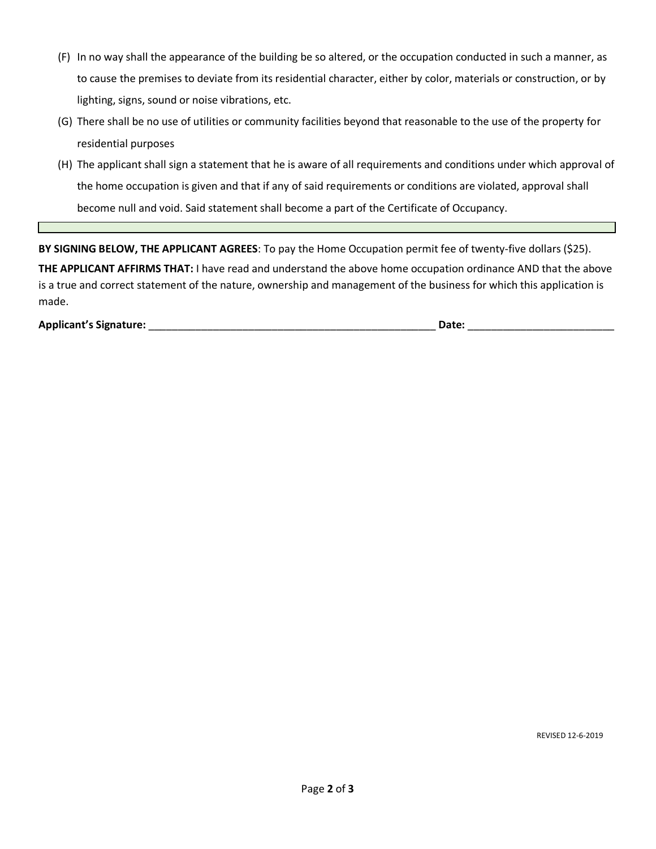- (F) In no way shall the appearance of the building be so altered, or the occupation conducted in such a manner, as to cause the premises to deviate from its residential character, either by color, materials or construction, or by lighting, signs, sound or noise vibrations, etc.
- (G) There shall be no use of utilities or community facilities beyond that reasonable to the use of the property for residential purposes
- (H) The applicant shall sign a statement that he is aware of all requirements and conditions under which approval of the home occupation is given and that if any of said requirements or conditions are violated, approval shall become null and void. Said statement shall become a part of the Certificate of Occupancy.

**BY SIGNING BELOW, THE APPLICANT AGREES**: To pay the Home Occupation permit fee of twenty-five dollars (\$25). **THE APPLICANT AFFIRMS THAT:** I have read and understand the above home occupation ordinance AND that the above is a true and correct statement of the nature, ownership and management of the business for which this application is made.

**Applicant's Signature:** \_\_\_\_\_\_\_\_\_\_\_\_\_\_\_\_\_\_\_\_\_\_\_\_\_\_\_\_\_\_\_\_\_\_\_\_\_\_\_\_\_\_\_\_\_\_\_\_\_ **Date:** \_\_\_\_\_\_\_\_\_\_\_\_\_\_\_\_\_\_\_\_\_\_\_\_\_

REVISED 12-6-2019